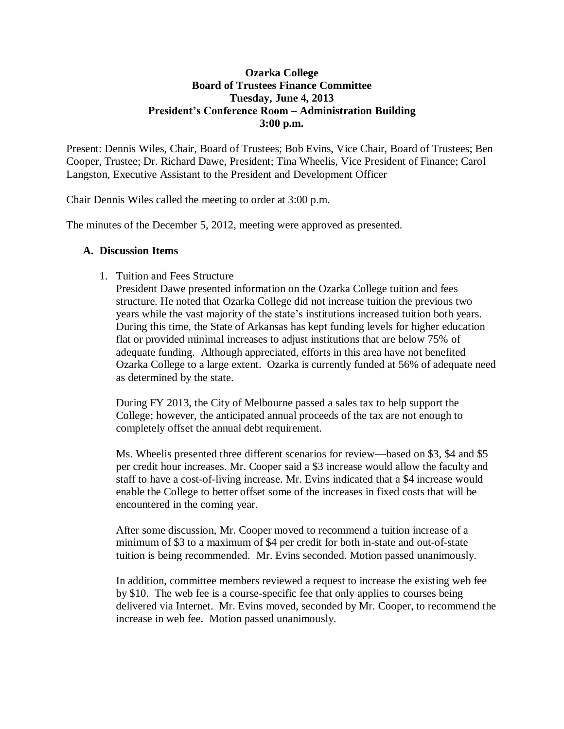## **Ozarka College Board of Trustees Finance Committee Tuesday, June 4, 2013 President's Conference Room – Administration Building 3:00 p.m.**

Present: Dennis Wiles, Chair, Board of Trustees; Bob Evins, Vice Chair, Board of Trustees; Ben Cooper, Trustee; Dr. Richard Dawe, President; Tina Wheelis, Vice President of Finance; Carol Langston, Executive Assistant to the President and Development Officer

Chair Dennis Wiles called the meeting to order at 3:00 p.m.

The minutes of the December 5, 2012, meeting were approved as presented.

## **A. Discussion Items**

1. Tuition and Fees Structure

President Dawe presented information on the Ozarka College tuition and fees structure. He noted that Ozarka College did not increase tuition the previous two years while the vast majority of the state's institutions increased tuition both years. During this time, the State of Arkansas has kept funding levels for higher education flat or provided minimal increases to adjust institutions that are below 75% of adequate funding. Although appreciated, efforts in this area have not benefited Ozarka College to a large extent. Ozarka is currently funded at 56% of adequate need as determined by the state.

During FY 2013, the City of Melbourne passed a sales tax to help support the College; however, the anticipated annual proceeds of the tax are not enough to completely offset the annual debt requirement.

Ms. Wheelis presented three different scenarios for review—based on \$3, \$4 and \$5 per credit hour increases. Mr. Cooper said a \$3 increase would allow the faculty and staff to have a cost-of-living increase. Mr. Evins indicated that a \$4 increase would enable the College to better offset some of the increases in fixed costs that will be encountered in the coming year.

After some discussion, Mr. Cooper moved to recommend a tuition increase of a minimum of \$3 to a maximum of \$4 per credit for both in-state and out-of-state tuition is being recommended. Mr. Evins seconded. Motion passed unanimously.

In addition, committee members reviewed a request to increase the existing web fee by \$10. The web fee is a course-specific fee that only applies to courses being delivered via Internet. Mr. Evins moved, seconded by Mr. Cooper, to recommend the increase in web fee. Motion passed unanimously.